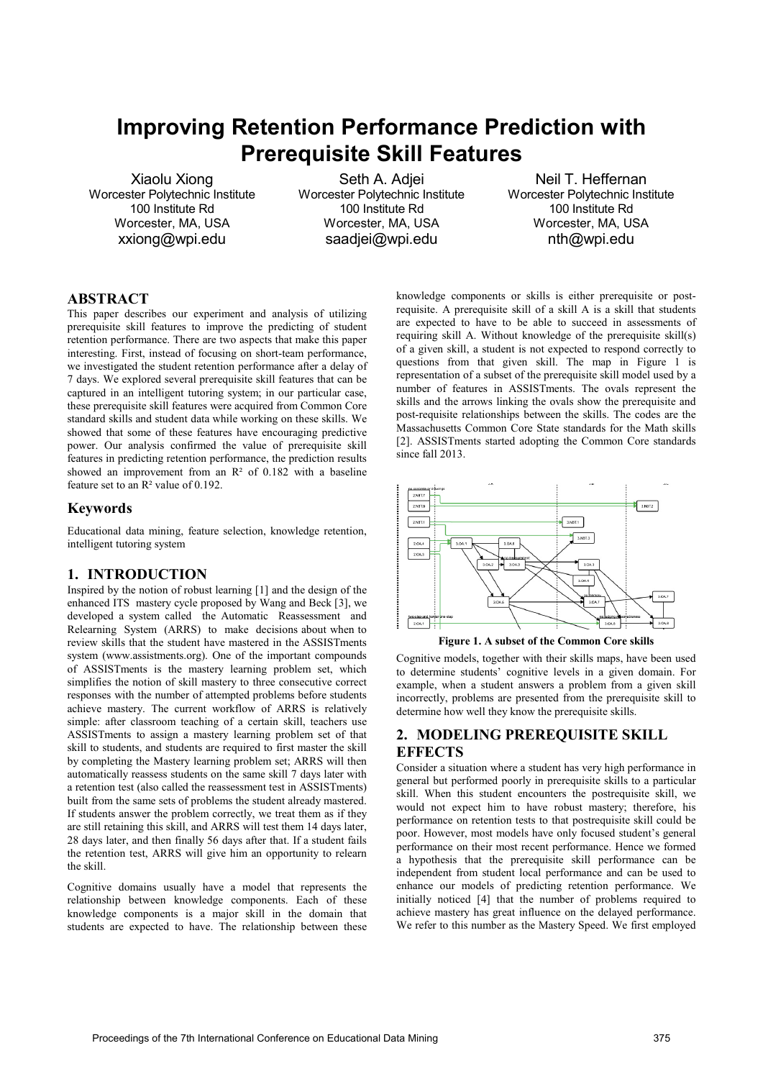# **Improving Retention Performance Prediction with Prerequisite Skill Features**

Xiaolu Xiong Worcester Polytechnic Institute 100 Institute Rd Worcester, MA, USA xxiong@wpi.edu

Seth A. Adjei Worcester Polytechnic Institute 100 Institute Rd Worcester, MA, USA saadjei@wpi.edu

Neil T. Heffernan Worcester Polytechnic Institute 100 Institute Rd Worcester, MA, USA nth@wpi.edu

## **ABSTRACT**

This paper describes our experiment and analysis of utilizing prerequisite skill features to improve the predicting of student retention performance. There are two aspects that make this paper interesting. First, instead of focusing on short-team performance, we investigated the student retention performance after a delay of 7 days. We explored several prerequisite skill features that can be captured in an intelligent tutoring system; in our particular case, these prerequisite skill features were acquired from Common Core standard skills and student data while working on these skills. We showed that some of these features have encouraging predictive power. Our analysis confirmed the value of prerequisite skill features in predicting retention performance, the prediction results showed an improvement from an  $R^2$  of 0.182 with a baseline feature set to an R² value of 0.192.

### **Keywords**

Educational data mining, feature selection, knowledge retention, intelligent tutoring system

## **1. INTRODUCTION**

Inspired by the notion of robust learning [1] and the design of the enhanced ITS mastery cycle proposed by Wang and Beck [3], we developed a system called the Automatic Reassessment and Relearning System (ARRS) to make decisions about when to review skills that the student have mastered in the ASSISTments system (www.assistments.org). One of the important compounds of ASSISTments is the mastery learning problem set, which simplifies the notion of skill mastery to three consecutive correct responses with the number of attempted problems before students achieve mastery. The current workflow of ARRS is relatively simple: after classroom teaching of a certain skill, teachers use ASSISTments to assign a mastery learning problem set of that skill to students, and students are required to first master the skill by completing the Mastery learning problem set; ARRS will then automatically reassess students on the same skill 7 days later with a retention test (also called the reassessment test in ASSISTments) built from the same sets of problems the student already mastered. If students answer the problem correctly, we treat them as if they are still retaining this skill, and ARRS will test them 14 days later, 28 days later, and then finally 56 days after that. If a student fails the retention test, ARRS will give him an opportunity to relearn the skill.

Cognitive domains usually have a model that represents the relationship between knowledge components. Each of these knowledge components is a major skill in the domain that students are expected to have. The relationship between these knowledge components or skills is either prerequisite or postrequisite. A prerequisite skill of a skill A is a skill that students are expected to have to be able to succeed in assessments of requiring skill A. Without knowledge of the prerequisite skill(s) of a given skill, a student is not expected to respond correctly to questions from that given skill. The map in Figure 1 is representation of a subset of the prerequisite skill model used by a number of features in ASSISTments. The ovals represent the skills and the arrows linking the ovals show the prerequisite and post-requisite relationships between the skills. The codes are the Massachusetts Common Core State standards for the Math skills [2]. ASSISTments started adopting the Common Core standards since fall 2013.



**Figure 1. A subset of the Common Core skills** 

Cognitive models, together with their skills maps, have been used to determine students' cognitive levels in a given domain. For example, when a student answers a problem from a given skill incorrectly, problems are presented from the prerequisite skill to determine how well they know the prerequisite skills.

# **2. MODELING PREREQUISITE SKILL EFFECTS**

Consider a situation where a student has very high performance in general but performed poorly in prerequisite skills to a particular skill. When this student encounters the postrequisite skill, we would not expect him to have robust mastery; therefore, his performance on retention tests to that postrequisite skill could be poor. However, most models have only focused student's general performance on their most recent performance. Hence we formed a hypothesis that the prerequisite skill performance can be independent from student local performance and can be used to enhance our models of predicting retention performance. We initially noticed [4] that the number of problems required to achieve mastery has great influence on the delayed performance. We refer to this number as the Mastery Speed. We first employed